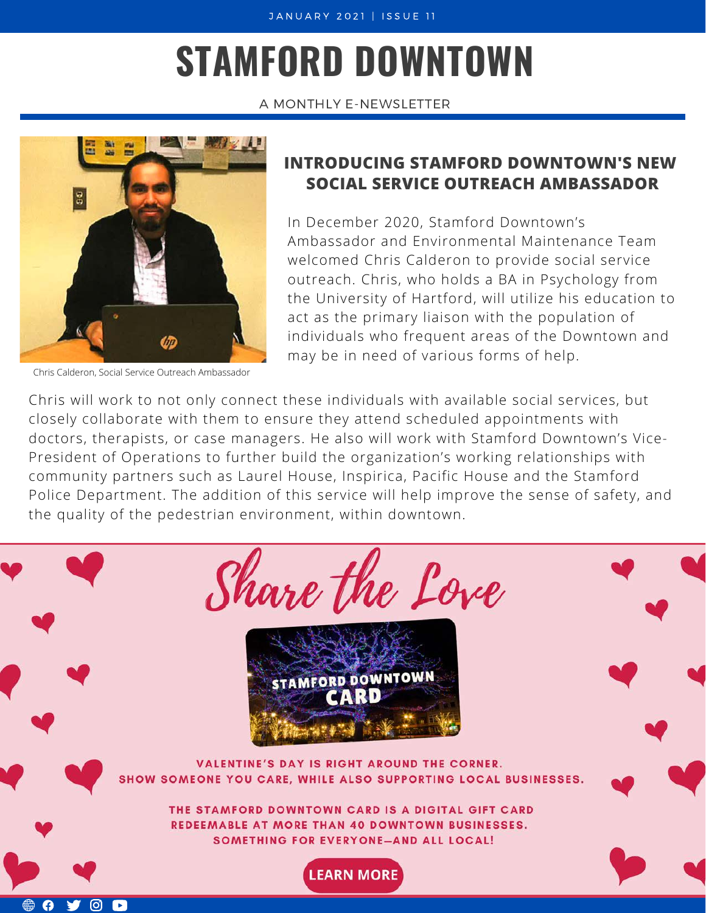# **STAMFORD DOWNTOWN**

A MONTHLY E-NEWSLETTER



Chris Calderon, Social Service Outreach Ambassador

#### **INTRODUCING STAMFORD DOWNTOWN'S NEW SOCIAL SERVICE OUTREACH AMBASSADOR**

In December 2020, Stamford Downtown's Ambassador and Environmental Maintenance Team welcomed Chris Calderon to provide social service outreach. Chris, who holds a BA in Psychology from the University of Hartford, will utilize his education to act as the primary liaison with the population of individuals who frequent areas of the Downtown and may be in need of various forms of help.

Chris will work to not only connect these individuals with available social services, but closely collaborate with them to ensure they attend scheduled appointments with doctors, therapists, or case managers. He also will work with Stamford Downtown's Vice-President of Operations to further build the organization's working relationships with community partners such as Laurel House, Inspirica, Pacific House and the Stamford Police Department. The addition of this service will help improve the sense of safety, and the quality of the pedestrian environment, within downtown.

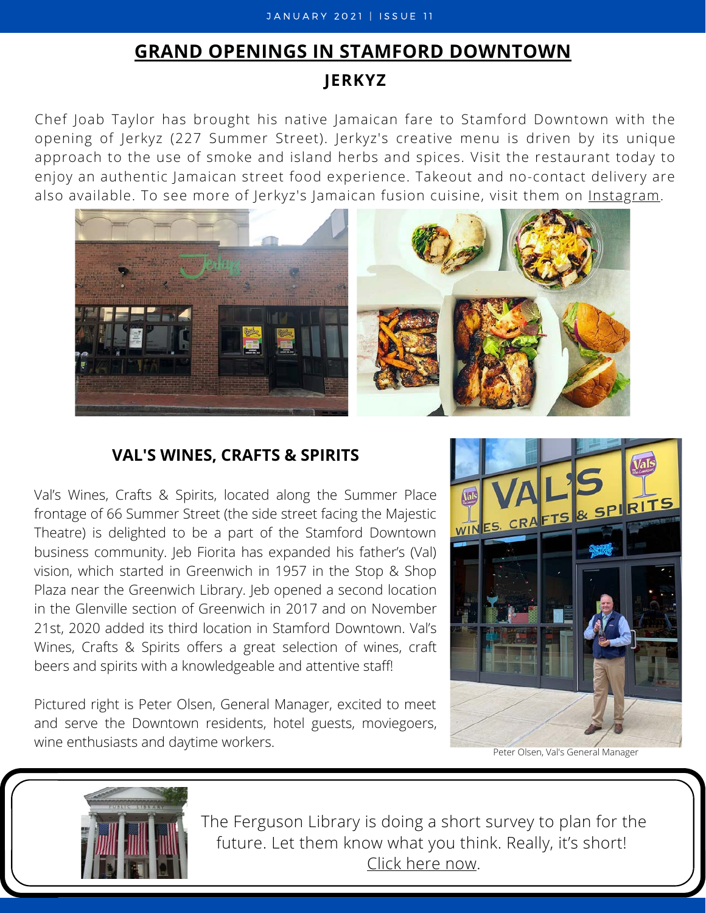#### J A N U A R Y 2021 | ISSUE 11

#### **GRAND OPENINGS IN STAMFORD DOWNTOWN**

#### **JERKYZ**

Chef Joab Taylor has brought his native Jamaican fare to Stamford Downtown with the opening of Jerkyz (227 Summer Street). Jerkyz's creative menu is driven by its unique approach to the use of smoke and island herbs and spices. Visit the restaurant today to enjoy an authentic Jamaican street food experience. Takeout and no-contact delivery are also available. To see more of Jerkyz's Jamaican fusion cuisine, visit them on *[Instagram](https://www.instagram.com/eatjerkyz/)*.



#### **VAL'S WINES, CRAFTS & SPIRITS**

Val's Wines, Crafts & Spirits, located along the Summer Place frontage of 66 Summer Street (the side street facing the Majestic Theatre) is delighted to be a part of the Stamford Downtown business community. Jeb Fiorita has expanded his father's (Val) vision, which started in Greenwich in 1957 in the Stop & Shop Plaza near the Greenwich Library. Jeb opened a second location in the Glenville section of Greenwich in 2017 and on November 21st, 2020 added its third location in Stamford Downtown. Val's Wines, Crafts & Spirits offers a great selection of wines, craft beers and spirits with a knowledgeable and attentive staff!

Pictured right is Peter Olsen, General Manager, excited to meet and serve the Downtown residents, hotel guests, moviegoers, wine enthusiasts and daytime workers.



Peter Olsen, Val's General Manager



The Ferguson Library is doing a short survey to plan for the future. Let them know what you think. Really, it's short! [Click here now.](https://survey.alchemer.com/s3/6084604/Ferguson-Library-2020-Planning-Survey)